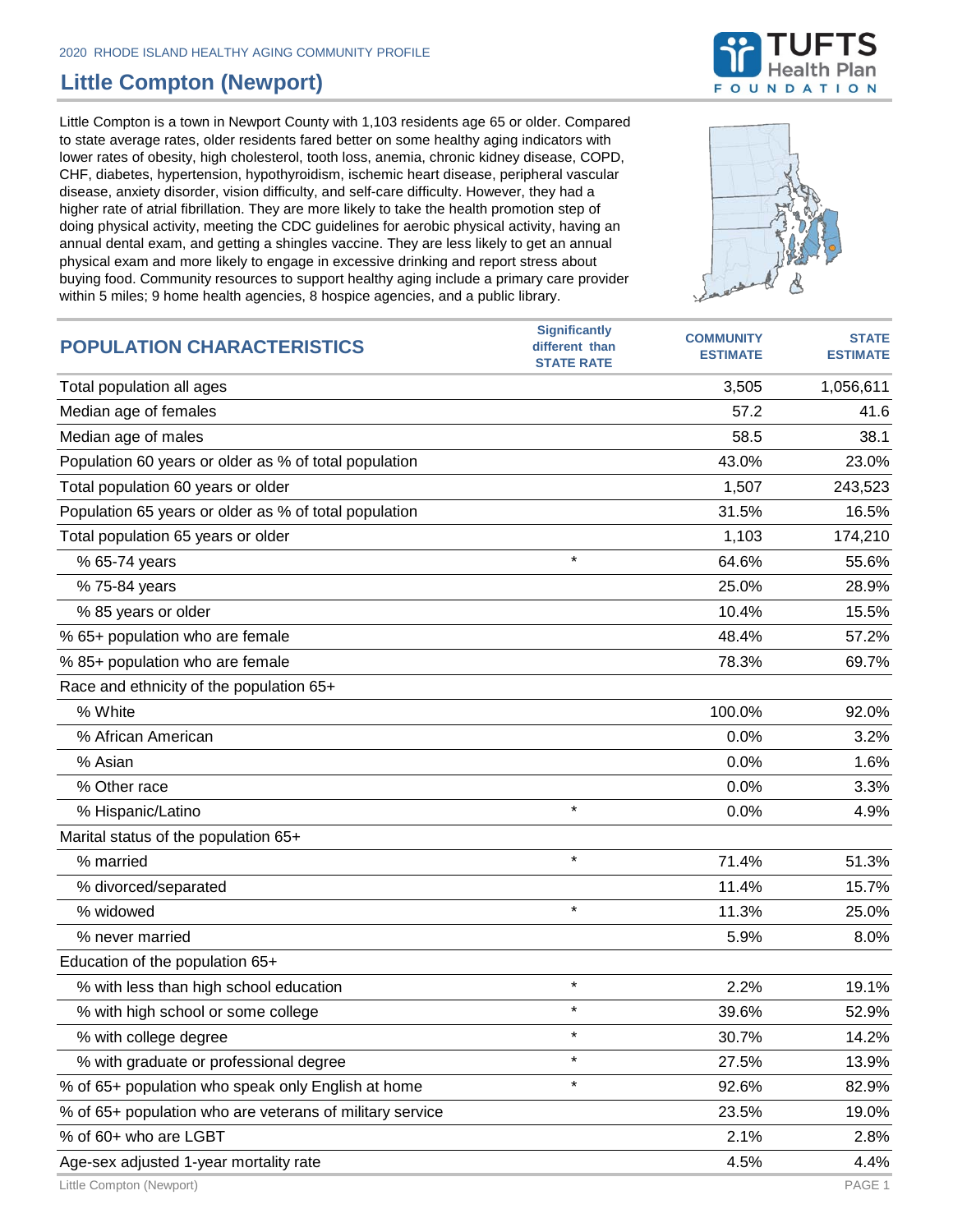## **Little Compton (Newport)**

Little Compton is a town in Newport County with 1,103 residents age 65 or older. Compared to state average rates, older residents fared better on some healthy aging indicators with lower rates of obesity, high cholesterol, tooth loss, anemia, chronic kidney disease, COPD, CHF, diabetes, hypertension, hypothyroidism, ischemic heart disease, peripheral vascular disease, anxiety disorder, vision difficulty, and self-care difficulty. However, they had a higher rate of atrial fibrillation. They are more likely to take the health promotion step of doing physical activity, meeting the CDC guidelines for aerobic physical activity, having an annual dental exam, and getting a shingles vaccine. They are less likely to get an annual physical exam and more likely to engage in excessive drinking and report stress about buying food. Community resources to support healthy aging include a primary care provider within 5 miles; 9 home health agencies, 8 hospice agencies, and a public library.



| <b>POPULATION CHARACTERISTICS</b>                        | <b>Significantly</b><br>different than<br><b>STATE RATE</b> | <b>COMMUNITY</b><br><b>ESTIMATE</b> | <b>STATE</b><br><b>ESTIMATE</b> |
|----------------------------------------------------------|-------------------------------------------------------------|-------------------------------------|---------------------------------|
| Total population all ages                                |                                                             | 3,505                               | 1,056,611                       |
| Median age of females                                    |                                                             | 57.2                                | 41.6                            |
| Median age of males                                      |                                                             | 58.5                                | 38.1                            |
| Population 60 years or older as % of total population    |                                                             | 43.0%                               | 23.0%                           |
| Total population 60 years or older                       |                                                             | 1,507                               | 243,523                         |
| Population 65 years or older as % of total population    |                                                             | 31.5%                               | 16.5%                           |
| Total population 65 years or older                       |                                                             | 1,103                               | 174,210                         |
| % 65-74 years                                            | $\star$                                                     | 64.6%                               | 55.6%                           |
| % 75-84 years                                            |                                                             | 25.0%                               | 28.9%                           |
| % 85 years or older                                      |                                                             | 10.4%                               | 15.5%                           |
| % 65+ population who are female                          |                                                             | 48.4%                               | 57.2%                           |
| % 85+ population who are female                          |                                                             | 78.3%                               | 69.7%                           |
| Race and ethnicity of the population 65+                 |                                                             |                                     |                                 |
| % White                                                  |                                                             | 100.0%                              | 92.0%                           |
| % African American                                       |                                                             | 0.0%                                | 3.2%                            |
| % Asian                                                  |                                                             | 0.0%                                | 1.6%                            |
| % Other race                                             |                                                             | 0.0%                                | 3.3%                            |
| % Hispanic/Latino                                        | $\star$                                                     | 0.0%                                | 4.9%                            |
| Marital status of the population 65+                     |                                                             |                                     |                                 |
| % married                                                | $\star$                                                     | 71.4%                               | 51.3%                           |
| % divorced/separated                                     |                                                             | 11.4%                               | 15.7%                           |
| % widowed                                                | $\star$                                                     | 11.3%                               | 25.0%                           |
| % never married                                          |                                                             | 5.9%                                | 8.0%                            |
| Education of the population 65+                          |                                                             |                                     |                                 |
| % with less than high school education                   | $\star$                                                     | 2.2%                                | 19.1%                           |
| % with high school or some college                       |                                                             | 39.6%                               | 52.9%                           |
| % with college degree                                    | $\star$                                                     | 30.7%                               | 14.2%                           |
| % with graduate or professional degree                   | $\star$                                                     | 27.5%                               | 13.9%                           |
| % of 65+ population who speak only English at home       | $\star$                                                     | 92.6%                               | 82.9%                           |
| % of 65+ population who are veterans of military service |                                                             | 23.5%                               | 19.0%                           |
| % of 60+ who are LGBT                                    |                                                             | 2.1%                                | 2.8%                            |
| Age-sex adjusted 1-year mortality rate                   |                                                             | 4.5%                                | 4.4%                            |

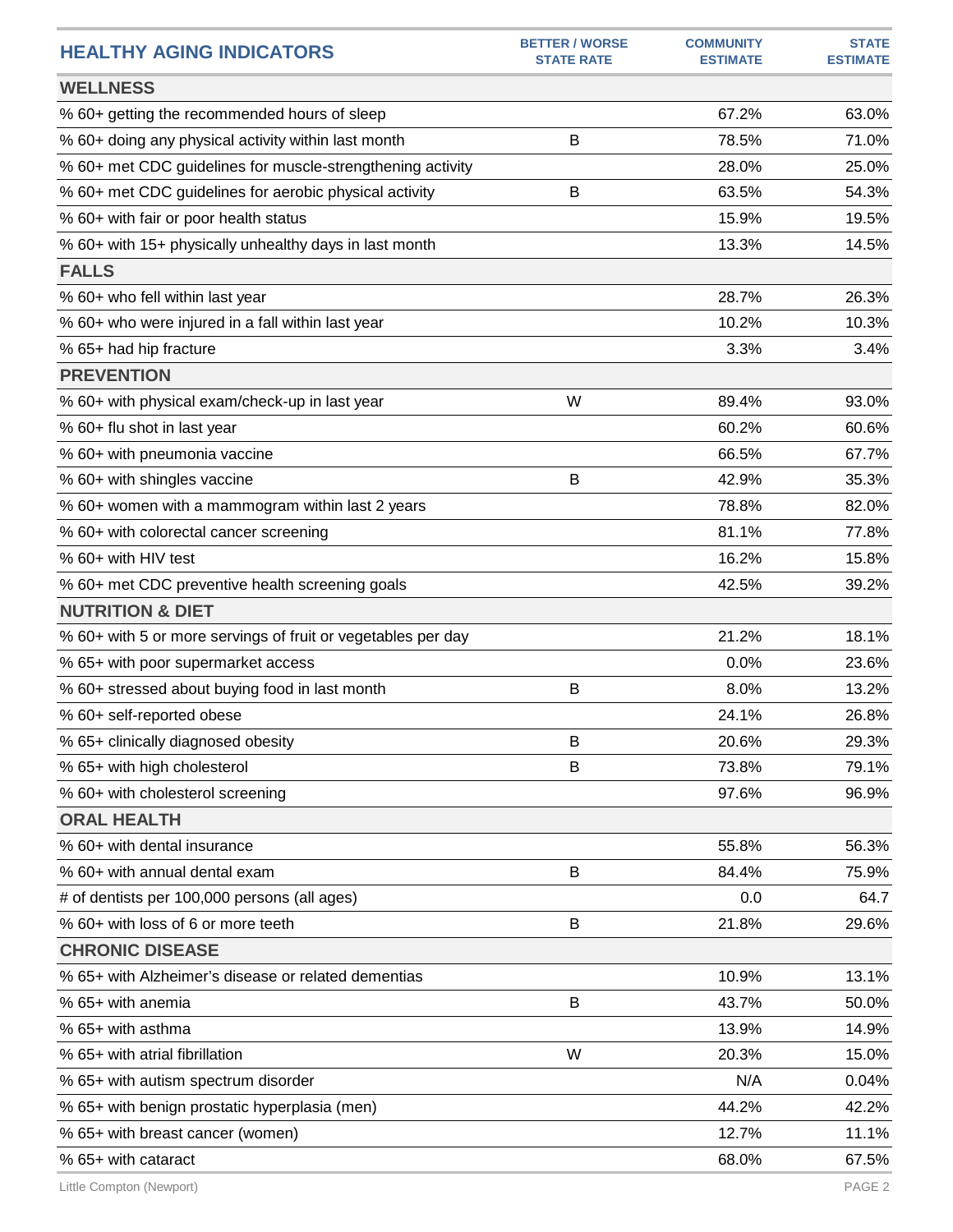| <b>HEALTHY AGING INDICATORS</b>                              | <b>BETTER / WORSE</b><br><b>STATE RATE</b> | <b>COMMUNITY</b><br><b>ESTIMATE</b> | <b>STATE</b><br><b>ESTIMATE</b> |
|--------------------------------------------------------------|--------------------------------------------|-------------------------------------|---------------------------------|
| <b>WELLNESS</b>                                              |                                            |                                     |                                 |
| % 60+ getting the recommended hours of sleep                 |                                            | 67.2%                               | 63.0%                           |
| % 60+ doing any physical activity within last month          | B                                          | 78.5%                               | 71.0%                           |
| % 60+ met CDC guidelines for muscle-strengthening activity   |                                            | 28.0%                               | 25.0%                           |
| % 60+ met CDC guidelines for aerobic physical activity       | B                                          | 63.5%                               | 54.3%                           |
| % 60+ with fair or poor health status                        |                                            | 15.9%                               | 19.5%                           |
| % 60+ with 15+ physically unhealthy days in last month       |                                            | 13.3%                               | 14.5%                           |
| <b>FALLS</b>                                                 |                                            |                                     |                                 |
| % 60+ who fell within last year                              |                                            | 28.7%                               | 26.3%                           |
| % 60+ who were injured in a fall within last year            |                                            | 10.2%                               | 10.3%                           |
| % 65+ had hip fracture                                       |                                            | 3.3%                                | 3.4%                            |
| <b>PREVENTION</b>                                            |                                            |                                     |                                 |
| % 60+ with physical exam/check-up in last year               | W                                          | 89.4%                               | 93.0%                           |
| % 60+ flu shot in last year                                  |                                            | 60.2%                               | 60.6%                           |
| % 60+ with pneumonia vaccine                                 |                                            | 66.5%                               | 67.7%                           |
| % 60+ with shingles vaccine                                  | В                                          | 42.9%                               | 35.3%                           |
| % 60+ women with a mammogram within last 2 years             |                                            | 78.8%                               | 82.0%                           |
| % 60+ with colorectal cancer screening                       |                                            | 81.1%                               | 77.8%                           |
| % 60+ with HIV test                                          |                                            | 16.2%                               | 15.8%                           |
| % 60+ met CDC preventive health screening goals              |                                            | 42.5%                               | 39.2%                           |
| <b>NUTRITION &amp; DIET</b>                                  |                                            |                                     |                                 |
| % 60+ with 5 or more servings of fruit or vegetables per day |                                            | 21.2%                               | 18.1%                           |
| % 65+ with poor supermarket access                           |                                            | 0.0%                                | 23.6%                           |
| % 60+ stressed about buying food in last month               | B                                          | 8.0%                                | 13.2%                           |
| % 60+ self-reported obese                                    |                                            | 24.1%                               | 26.8%                           |
| % 65+ clinically diagnosed obesity                           | В                                          | 20.6%                               | 29.3%                           |
| % 65+ with high cholesterol                                  | B                                          | 73.8%                               | 79.1%                           |
| % 60+ with cholesterol screening                             |                                            | 97.6%                               | 96.9%                           |
| <b>ORAL HEALTH</b>                                           |                                            |                                     |                                 |
| % 60+ with dental insurance                                  |                                            | 55.8%                               | 56.3%                           |
| % 60+ with annual dental exam                                | В                                          | 84.4%                               | 75.9%                           |
| # of dentists per 100,000 persons (all ages)                 |                                            | 0.0                                 | 64.7                            |
| % 60+ with loss of 6 or more teeth                           | B                                          | 21.8%                               | 29.6%                           |
| <b>CHRONIC DISEASE</b>                                       |                                            |                                     |                                 |
| % 65+ with Alzheimer's disease or related dementias          |                                            | 10.9%                               | 13.1%                           |
| % 65+ with anemia                                            | В                                          | 43.7%                               | 50.0%                           |
| % 65+ with asthma                                            |                                            | 13.9%                               | 14.9%                           |
| % 65+ with atrial fibrillation                               | W                                          | 20.3%                               | 15.0%                           |
| % 65+ with autism spectrum disorder                          |                                            | N/A                                 | 0.04%                           |
| % 65+ with benign prostatic hyperplasia (men)                |                                            | 44.2%                               | 42.2%                           |
| % 65+ with breast cancer (women)                             |                                            | 12.7%                               | 11.1%                           |
| % 65+ with cataract                                          |                                            | 68.0%                               | 67.5%                           |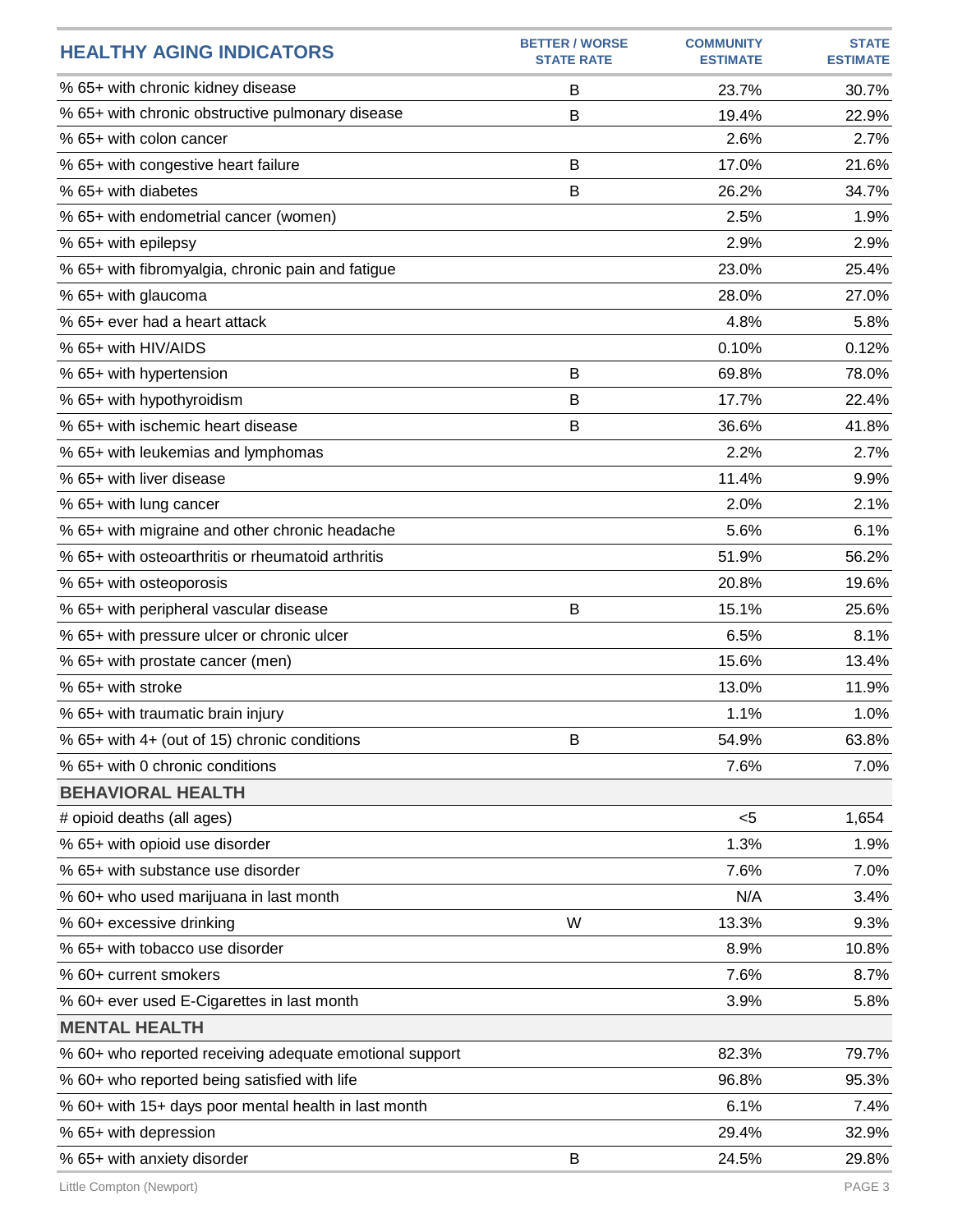| <b>HEALTHY AGING INDICATORS</b>                         | <b>BETTER / WORSE</b><br><b>STATE RATE</b> | <b>COMMUNITY</b><br><b>ESTIMATE</b> | <b>STATE</b><br><b>ESTIMATE</b> |
|---------------------------------------------------------|--------------------------------------------|-------------------------------------|---------------------------------|
| % 65+ with chronic kidney disease                       | B                                          | 23.7%                               | 30.7%                           |
| % 65+ with chronic obstructive pulmonary disease        | B                                          | 19.4%                               | 22.9%                           |
| % 65+ with colon cancer                                 |                                            | 2.6%                                | 2.7%                            |
| % 65+ with congestive heart failure                     | B                                          | 17.0%                               | 21.6%                           |
| % 65+ with diabetes                                     | B                                          | 26.2%                               | 34.7%                           |
| % 65+ with endometrial cancer (women)                   |                                            | 2.5%                                | 1.9%                            |
| % 65+ with epilepsy                                     |                                            | 2.9%                                | 2.9%                            |
| % 65+ with fibromyalgia, chronic pain and fatigue       |                                            | 23.0%                               | 25.4%                           |
| % 65+ with glaucoma                                     |                                            | 28.0%                               | 27.0%                           |
| % 65+ ever had a heart attack                           |                                            | 4.8%                                | 5.8%                            |
| % 65+ with HIV/AIDS                                     |                                            | 0.10%                               | 0.12%                           |
| % 65+ with hypertension                                 | B                                          | 69.8%                               | 78.0%                           |
| % 65+ with hypothyroidism                               | B                                          | 17.7%                               | 22.4%                           |
| % 65+ with ischemic heart disease                       | B                                          | 36.6%                               | 41.8%                           |
| % 65+ with leukemias and lymphomas                      |                                            | 2.2%                                | 2.7%                            |
| % 65+ with liver disease                                |                                            | 11.4%                               | 9.9%                            |
| % 65+ with lung cancer                                  |                                            | 2.0%                                | 2.1%                            |
| % 65+ with migraine and other chronic headache          |                                            | 5.6%                                | 6.1%                            |
| % 65+ with osteoarthritis or rheumatoid arthritis       |                                            | 51.9%                               | 56.2%                           |
| % 65+ with osteoporosis                                 |                                            | 20.8%                               | 19.6%                           |
| % 65+ with peripheral vascular disease                  | B                                          | 15.1%                               | 25.6%                           |
| % 65+ with pressure ulcer or chronic ulcer              |                                            | 6.5%                                | 8.1%                            |
| % 65+ with prostate cancer (men)                        |                                            | 15.6%                               | 13.4%                           |
| % 65+ with stroke                                       |                                            | 13.0%                               | 11.9%                           |
| % 65+ with traumatic brain injury                       |                                            | 1.1%                                | 1.0%                            |
| % 65+ with 4+ (out of 15) chronic conditions            | В                                          | 54.9%                               | 63.8%                           |
| % 65+ with 0 chronic conditions                         |                                            | 7.6%                                | 7.0%                            |
| <b>BEHAVIORAL HEALTH</b>                                |                                            |                                     |                                 |
| # opioid deaths (all ages)                              |                                            | $<$ 5                               | 1,654                           |
| % 65+ with opioid use disorder                          |                                            | 1.3%                                | 1.9%                            |
| % 65+ with substance use disorder                       |                                            | 7.6%                                | 7.0%                            |
| % 60+ who used marijuana in last month                  |                                            | N/A                                 | 3.4%                            |
| % 60+ excessive drinking                                | W                                          | 13.3%                               | 9.3%                            |
| % 65+ with tobacco use disorder                         |                                            | 8.9%                                | 10.8%                           |
| % 60+ current smokers                                   |                                            | 7.6%                                | 8.7%                            |
| % 60+ ever used E-Cigarettes in last month              |                                            | 3.9%                                | 5.8%                            |
| <b>MENTAL HEALTH</b>                                    |                                            |                                     |                                 |
| % 60+ who reported receiving adequate emotional support |                                            | 82.3%                               | 79.7%                           |
| % 60+ who reported being satisfied with life            |                                            | 96.8%                               | 95.3%                           |
| % 60+ with 15+ days poor mental health in last month    |                                            | 6.1%                                | 7.4%                            |
| % 65+ with depression                                   |                                            | 29.4%                               | 32.9%                           |
| % 65+ with anxiety disorder                             | B                                          | 24.5%                               | 29.8%                           |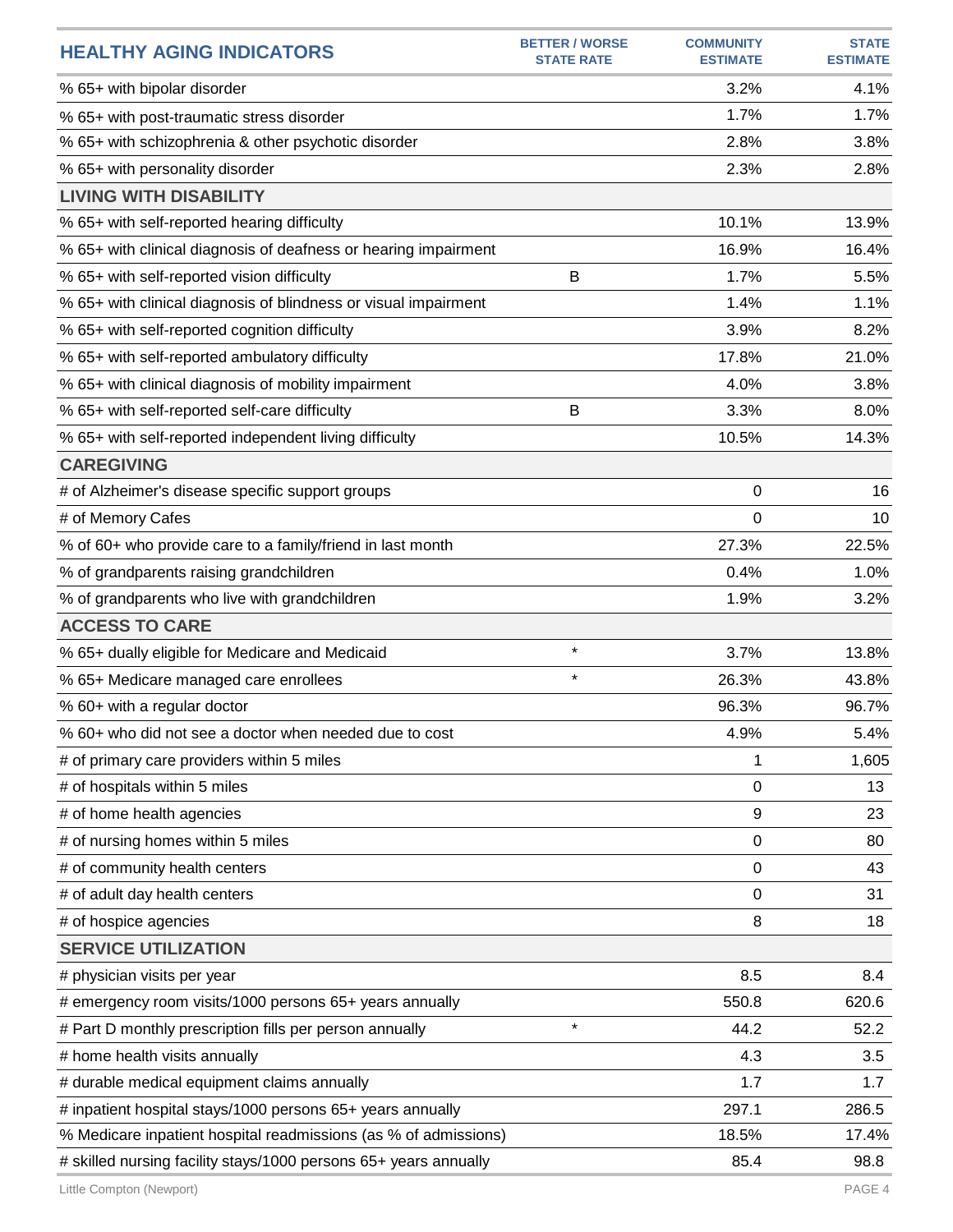| <b>HEALTHY AGING INDICATORS</b>                                  | <b>BETTER / WORSE</b><br><b>STATE RATE</b> | <b>COMMUNITY</b><br><b>ESTIMATE</b> | <b>STATE</b><br><b>ESTIMATE</b> |
|------------------------------------------------------------------|--------------------------------------------|-------------------------------------|---------------------------------|
| % 65+ with bipolar disorder                                      |                                            | 3.2%                                | 4.1%                            |
| % 65+ with post-traumatic stress disorder                        |                                            | 1.7%                                | 1.7%                            |
| % 65+ with schizophrenia & other psychotic disorder              |                                            | 2.8%                                | 3.8%                            |
| % 65+ with personality disorder                                  |                                            | 2.3%                                | 2.8%                            |
| <b>LIVING WITH DISABILITY</b>                                    |                                            |                                     |                                 |
| % 65+ with self-reported hearing difficulty                      |                                            | 10.1%                               | 13.9%                           |
| % 65+ with clinical diagnosis of deafness or hearing impairment  |                                            | 16.9%                               | 16.4%                           |
| % 65+ with self-reported vision difficulty                       | B                                          | 1.7%                                | 5.5%                            |
| % 65+ with clinical diagnosis of blindness or visual impairment  |                                            | 1.4%                                | 1.1%                            |
| % 65+ with self-reported cognition difficulty                    |                                            | 3.9%                                | 8.2%                            |
| % 65+ with self-reported ambulatory difficulty                   |                                            | 17.8%                               | 21.0%                           |
| % 65+ with clinical diagnosis of mobility impairment             |                                            | 4.0%                                | 3.8%                            |
| % 65+ with self-reported self-care difficulty                    | B                                          | 3.3%                                | 8.0%                            |
| % 65+ with self-reported independent living difficulty           |                                            | 10.5%                               | 14.3%                           |
| <b>CAREGIVING</b>                                                |                                            |                                     |                                 |
| # of Alzheimer's disease specific support groups                 |                                            | 0                                   | 16                              |
| # of Memory Cafes                                                |                                            | 0                                   | 10                              |
| % of 60+ who provide care to a family/friend in last month       |                                            | 27.3%                               | 22.5%                           |
| % of grandparents raising grandchildren                          |                                            | 0.4%                                | 1.0%                            |
| % of grandparents who live with grandchildren                    |                                            | 1.9%                                | 3.2%                            |
| <b>ACCESS TO CARE</b>                                            |                                            |                                     |                                 |
| % 65+ dually eligible for Medicare and Medicaid                  | $\star$                                    | 3.7%                                | 13.8%                           |
| % 65+ Medicare managed care enrollees                            | $\star$                                    | 26.3%                               | 43.8%                           |
| % 60+ with a regular doctor                                      |                                            | 96.3%                               | 96.7%                           |
| % 60+ who did not see a doctor when needed due to cost           |                                            | 4.9%                                | 5.4%                            |
| # of primary care providers within 5 miles                       |                                            | 1                                   | 1,605                           |
| # of hospitals within 5 miles                                    |                                            | 0                                   | 13                              |
| # of home health agencies                                        |                                            | 9                                   | 23                              |
| # of nursing homes within 5 miles                                |                                            | 0                                   | 80                              |
| # of community health centers                                    |                                            | 0                                   | 43                              |
| # of adult day health centers                                    |                                            | 0                                   | 31                              |
| # of hospice agencies                                            |                                            | 8                                   | 18                              |
| <b>SERVICE UTILIZATION</b>                                       |                                            |                                     |                                 |
| # physician visits per year                                      |                                            | 8.5                                 | 8.4                             |
| # emergency room visits/1000 persons 65+ years annually          |                                            | 550.8                               | 620.6                           |
| # Part D monthly prescription fills per person annually          | $\star$                                    | 44.2                                | 52.2                            |
| # home health visits annually                                    |                                            | 4.3                                 | 3.5                             |
| # durable medical equipment claims annually                      |                                            | 1.7                                 | 1.7                             |
| # inpatient hospital stays/1000 persons 65+ years annually       |                                            | 297.1                               | 286.5                           |
| % Medicare inpatient hospital readmissions (as % of admissions)  |                                            | 18.5%                               | 17.4%                           |
| # skilled nursing facility stays/1000 persons 65+ years annually |                                            | 85.4                                | 98.8                            |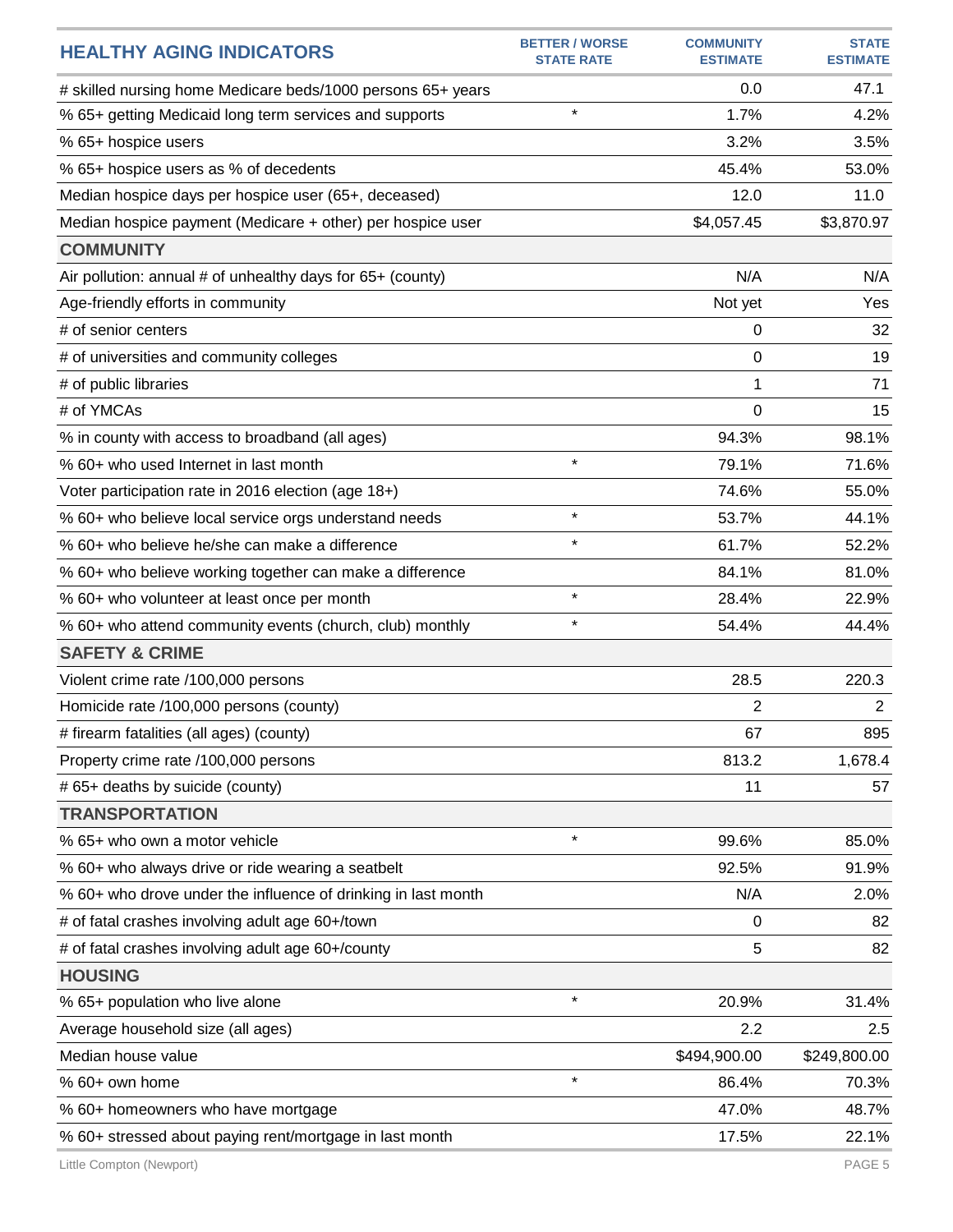| <b>BETTER / WORSE</b><br><b>HEALTHY AGING INDICATORS</b><br><b>STATE RATE</b> | <b>COMMUNITY</b><br><b>ESTIMATE</b> | <b>STATE</b><br><b>ESTIMATE</b> |
|-------------------------------------------------------------------------------|-------------------------------------|---------------------------------|
| # skilled nursing home Medicare beds/1000 persons 65+ years                   | 0.0                                 | 47.1                            |
| $\star$<br>% 65+ getting Medicaid long term services and supports             | 1.7%                                | 4.2%                            |
| % 65+ hospice users                                                           | 3.2%                                | 3.5%                            |
| % 65+ hospice users as % of decedents                                         | 45.4%                               | 53.0%                           |
| Median hospice days per hospice user (65+, deceased)                          | 12.0                                | 11.0                            |
| Median hospice payment (Medicare + other) per hospice user                    | \$4,057.45                          | \$3,870.97                      |
| <b>COMMUNITY</b>                                                              |                                     |                                 |
| Air pollution: annual # of unhealthy days for 65+ (county)                    | N/A                                 | N/A                             |
| Age-friendly efforts in community                                             | Not yet                             | Yes                             |
| # of senior centers                                                           | 0                                   | 32                              |
| # of universities and community colleges                                      | 0                                   | 19                              |
| # of public libraries                                                         | 1                                   | 71                              |
| # of YMCAs                                                                    | $\Omega$                            | 15                              |
| % in county with access to broadband (all ages)                               | 94.3%                               | 98.1%                           |
| $\star$<br>% 60+ who used Internet in last month                              | 79.1%                               | 71.6%                           |
| Voter participation rate in 2016 election (age 18+)                           | 74.6%                               | 55.0%                           |
| $\star$<br>% 60+ who believe local service orgs understand needs              | 53.7%                               | 44.1%                           |
| $\star$<br>% 60+ who believe he/she can make a difference                     | 61.7%                               | 52.2%                           |
| % 60+ who believe working together can make a difference                      | 84.1%                               | 81.0%                           |
| $\star$<br>% 60+ who volunteer at least once per month                        | 28.4%                               | 22.9%                           |
| $\star$<br>% 60+ who attend community events (church, club) monthly           | 54.4%                               | 44.4%                           |
| <b>SAFETY &amp; CRIME</b>                                                     |                                     |                                 |
| Violent crime rate /100,000 persons                                           | 28.5                                | 220.3                           |
| Homicide rate /100,000 persons (county)                                       | 2                                   | $\overline{2}$                  |
| # firearm fatalities (all ages) (county)                                      | 67                                  | 895                             |
| Property crime rate /100,000 persons                                          | 813.2                               | 1,678.4                         |
| # 65+ deaths by suicide (county)                                              | 11                                  | 57                              |
| <b>TRANSPORTATION</b>                                                         |                                     |                                 |
| $\star$<br>% 65+ who own a motor vehicle                                      | 99.6%                               | 85.0%                           |
| % 60+ who always drive or ride wearing a seatbelt                             | 92.5%                               | 91.9%                           |
| % 60+ who drove under the influence of drinking in last month                 | N/A                                 | 2.0%                            |
| # of fatal crashes involving adult age 60+/town                               | 0                                   | 82                              |
| # of fatal crashes involving adult age 60+/county                             | 5                                   | 82                              |
| <b>HOUSING</b>                                                                |                                     |                                 |
| $\star$<br>% 65+ population who live alone                                    | 20.9%                               | 31.4%                           |
| Average household size (all ages)                                             | 2.2                                 | 2.5                             |
| Median house value                                                            | \$494,900.00                        | \$249,800.00                    |
| $\star$<br>% 60+ own home                                                     | 86.4%                               | 70.3%                           |
| % 60+ homeowners who have mortgage                                            | 47.0%                               | 48.7%                           |
| % 60+ stressed about paying rent/mortgage in last month                       | 17.5%                               | 22.1%                           |